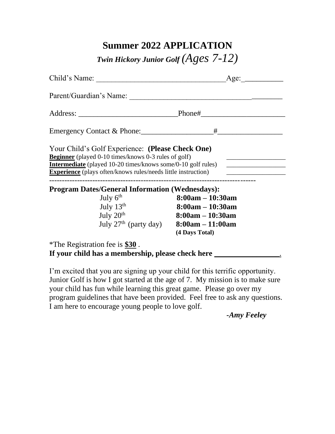# **Summer 2022 APPLICATION**  *Twin Hickory Junior Golf (Ages 7-12)*

| Child's Name:                                                                                                                                                                           |                                          |  |
|-----------------------------------------------------------------------------------------------------------------------------------------------------------------------------------------|------------------------------------------|--|
| Parent/Guardian's Name:                                                                                                                                                                 |                                          |  |
|                                                                                                                                                                                         |                                          |  |
|                                                                                                                                                                                         |                                          |  |
| Your Child's Golf Experience: (Please Check One)<br><b>Beginner</b> (played 0-10 times/knows 0-3 rules of golf)<br><b>Experience</b> (plays often/knows rules/needs little instruction) |                                          |  |
| <b>Program Dates/General Information (Wednesdays):</b><br>July $6th$<br>$8:00am - 10:30am$                                                                                              |                                          |  |
| July $13th$<br>July 20th                                                                                                                                                                | $8:00am - 10:30am$<br>$8:00am - 10:30am$ |  |
| July 27 <sup>th</sup> (party day) 8:00am - 11:00am                                                                                                                                      | (4 Days Total)                           |  |
| <i>*</i> The Registration fee is $$30$ .<br>$\mathbf{r}$ , and $\mathbf{r}$ are the set of $\mathbf{r}$ , and $\mathbf{r}$ are the set of $\mathbf{r}$<br>$\mathbf{r}$ $\mathbf{r}$     |                                          |  |

**If your child has a membership, please check here** \_\_\_\_\_\_\_\_\_\_\_\_\_\_\_\_\_.

I'm excited that you are signing up your child for this terrific opportunity. Junior Golf is how I got started at the age of 7. My mission is to make sure your child has fun while learning this great game. Please go over my program guidelines that have been provided. Feel free to ask any questions. I am here to encourage young people to love golf.

*-Amy Feeley*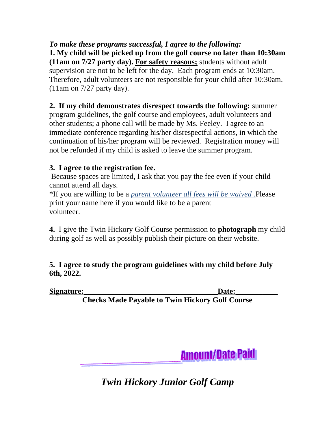### *To make these programs successful, I agree to the following:* **1. My child will be picked up from the golf course no later than 10:30am (11am on 7/27 party day). For safety reasons;** students without adult supervision are not to be left for the day. Each program ends at 10:30am. Therefore, adult volunteers are not responsible for your child after 10:30am.  $(11$ am on 7/27 party day).

### **2. If my child demonstrates disrespect towards the following:** summer

program guidelines, the golf course and employees, adult volunteers and other students; a phone call will be made by Ms. Feeley. I agree to an immediate conference regarding his/her disrespectful actions, in which the continuation of his/her program will be reviewed. Registration money will not be refunded if my child is asked to leave the summer program.

## **3. I agree to the registration fee.**

Because spaces are limited, I ask that you pay the fee even if your child cannot attend all days.

\*If you are willing to be a *parent volunteer all fees will be waived .*Please print your name here if you would like to be a parent volunteer.

**4.** I give the Twin Hickory Golf Course permission to **photograph** my child during golf as well as possibly publish their picture on their website.

## **5. I agree to study the program guidelines with my child before July 6th, 2022.**

Signature: <u>Date:</u>

**Checks Made Payable to Twin Hickory Golf Course**

**Amount/Date Paid** 

*Twin Hickory Junior Golf Camp*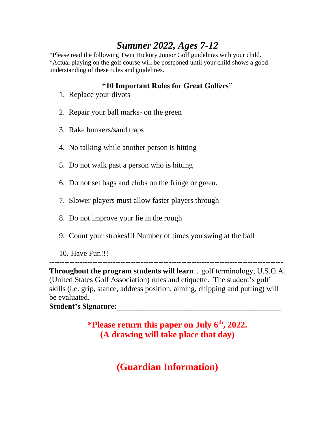# *Summer 2022, Ages 7-12*

\*Please read the following Twin Hickory Junior Golf guidelines with your child. \*Actual playing on the golf course will be postponed until your child shows a good understanding of these rules and guidelines.

### **"10 Important Rules for Great Golfers"**

- 1. Replace your divots
- 2. Repair your ball marks- on the green
- 3. Rake bunkers/sand traps
- 4. No talking while another person is hitting
- 5. Do not walk past a person who is hitting
- 6. Do not set bags and clubs on the fringe or green.
- 7. Slower players must allow faster players through
- 8. Do not improve your lie in the rough
- 9. Count your strokes!!! Number of times you swing at the ball

#### 10. Have Fun!!!

--------------------------------------------------------------------------------------------

**Throughout the program students will learn**…golf terminology, U.S.G.A. (United States Golf Association) rules and etiquette. The student's golf skills (i.e. grip, stance, address position, aiming, chipping and putting) will be evaluated.

**Student's Signature:\_\_\_\_\_\_\_\_\_\_\_\_\_\_\_\_\_\_\_\_\_\_\_\_\_\_\_\_\_\_\_\_\_\_\_\_\_\_\_\_\_\_\_**

**\*Please return this paper on July 6 th, 2022. (A drawing will take place that day)**

**(Guardian Information)**